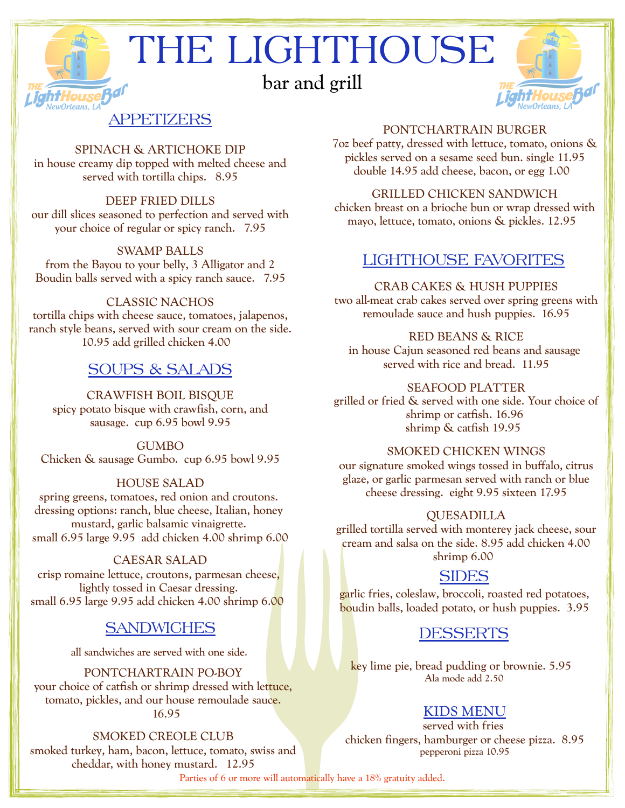# THE LIGHTHOUSE

## bar and grill



## APPETIZERS

*NewOrteans, LA* 

## SPINACH & ARTICHOKE DIP

in house creamy dip topped with melted cheese and served with tortilla chips. 8.95

## DEEP FRIED DILLS

our dill slices seasoned to perfection and served with your choice of regular or spicy ranch. 7.95

## SWAMP BALLS

from the Bayou to your belly, 3 Alligator and 2 Boudin balls served with a spicy ranch sauce. 7.95

## CLASSIC NACHOS

tortilla chips with cheese sauce, tomatoes, jalapenos, ranch style beans, served with sour cream on the side. 10.95 add grilled chicken 4.00

## SOUPS & SALADS

CRAWFISH BOIL BISQUE spicy potato bisque with crawfish, corn, and sausage. cup 6.95 bowl 9.95

GUMBO Chicken & sausage Gumbo. cup 6.95 bowl 9.95

#### HOUSE SALAD

spring greens, tomatoes, red onion and croutons. dressing options: ranch, blue cheese, Italian, honey mustard, garlic balsamic vinaigrette. small 6.95 large 9.95 add chicken 4.00 shrimp 6.00

#### CAESAR SALAD

crisp romaine lettuce, croutons, parmesan cheese, lightly tossed in Caesar dressing. small 6.95 large 9.95 add chicken 4.00 shrimp 6.00

## SANDWICHES

all sandwiches are served with one side.

#### PONTCHARTRAIN PO-BOY

your choice of catfish or shrimp dressed with lettuce, tomato, pickles, and our house remoulade sauce. 16.95

#### SMOKED CREOLE CLUB

smoked turkey, ham, bacon, lettuce, tomato, swiss and cheddar, with honey mustard. 12.95

## PONTCHARTRAIN BURGER

7oz beef patty, dressed with lettuce, tomato, onions & pickles served on a sesame seed bun. single 11.95 double 14.95 add cheese, bacon, or egg 1.00

#### GRILLED CHICKEN SANDWICH

chicken breast on a brioche bun or wrap dressed with mayo, lettuce, tomato, onions & pickles. 12.95

## LIGHTHOUSE FAVORITES

## CRAB CAKES & HUSH PUPPIES

two all-meat crab cakes served over spring greens with remoulade sauce and hush puppies. 16.95

#### RED BEANS & RICE

in house Cajun seasoned red beans and sausage served with rice and bread. 11.95

## SEAFOOD PLATTER

grilled or fried & served with one side. Your choice of shrimp or catfish. 16.96 shrimp & catfish 19.95

#### SMOKED CHICKEN WINGS

our signature smoked wings tossed in buffalo, citrus glaze, or garlic parmesan served with ranch or blue cheese dressing. eight 9.95 sixteen 17.95

#### QUESADILLA

grilled tortilla served with monterey jack cheese, sour cream and salsa on the side. 8.95 add chicken 4.00 shrimp 6.00

## SIDES

garlic fries, coleslaw, broccoli, roasted red potatoes, boudin balls, loaded potato, or hush puppies. 3.95

## DESSERTS

key lime pie, bread pudding or brownie. 5.95 Ala mode add 2.50

## KIDS MENU

served with fries chicken fingers, hamburger or cheese pizza. 8.95 pepperoni pizza 10.95

Parties of 6 or more will automatically have a 18% gratuity added.